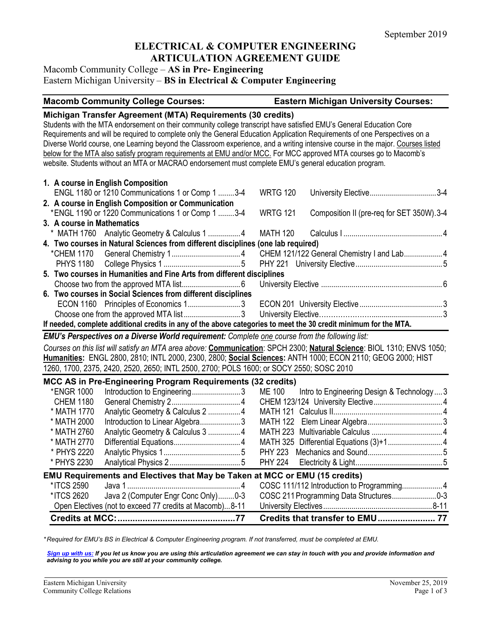# **ELECTRICAL & COMPUTER ENGINEERING ARTICULATION AGREEMENT GUIDE**

## Macomb Community College – **AS in Pre- Engineering** Eastern Michigan University – **BS in Electrical & Computer Engineering**

#### **Macomb Community College Courses: Eastern Michigan University Courses:**

### **Michigan Transfer Agreement (MTA) Requirements (30 credits)**

Students with the MTA endorsement on their community college transcript have satisfied EMU's General Education Core Requirements and will be required to complete only the General Education Application Requirements of one Perspectives on a Diverse World course, one Learning beyond the Classroom experience, and a writing intensive course in the major. Courses listed below for the MTA also satisfy program requirements at EMU and/or MCC. For MCC approved MTA courses go to Macomb's website. Students without an MTA or MACRAO endorsement must complete EMU's general education program.

|                                                                                                                  |                                                                       | 1. A course in English Composition                                                                                    |  |                 |                                           |  |
|------------------------------------------------------------------------------------------------------------------|-----------------------------------------------------------------------|-----------------------------------------------------------------------------------------------------------------------|--|-----------------|-------------------------------------------|--|
|                                                                                                                  |                                                                       | ENGL 1180 or 1210 Communications 1 or Comp 1 3-4                                                                      |  | <b>WRTG 120</b> | University Elective3-4                    |  |
|                                                                                                                  |                                                                       | 2. A course in English Composition or Communication                                                                   |  |                 |                                           |  |
|                                                                                                                  |                                                                       | *ENGL 1190 or 1220 Communications 1 or Comp 1 3-4                                                                     |  | <b>WRTG 121</b> | Composition II (pre-req for SET 350W).3-4 |  |
|                                                                                                                  | 3. A course in Mathematics                                            |                                                                                                                       |  |                 |                                           |  |
|                                                                                                                  |                                                                       |                                                                                                                       |  |                 |                                           |  |
|                                                                                                                  |                                                                       | 4. Two courses in Natural Sciences from different disciplines (one lab required)                                      |  |                 |                                           |  |
|                                                                                                                  |                                                                       |                                                                                                                       |  |                 |                                           |  |
|                                                                                                                  |                                                                       |                                                                                                                       |  |                 |                                           |  |
|                                                                                                                  | 5. Two courses in Humanities and Fine Arts from different disciplines |                                                                                                                       |  |                 |                                           |  |
|                                                                                                                  |                                                                       |                                                                                                                       |  |                 |                                           |  |
|                                                                                                                  |                                                                       | 6. Two courses in Social Sciences from different disciplines                                                          |  |                 |                                           |  |
|                                                                                                                  |                                                                       |                                                                                                                       |  |                 |                                           |  |
|                                                                                                                  |                                                                       |                                                                                                                       |  |                 |                                           |  |
| If needed, complete additional credits in any of the above categories to meet the 30 credit minimum for the MTA. |                                                                       |                                                                                                                       |  |                 |                                           |  |
|                                                                                                                  |                                                                       | <b>EMU's Perspectives on a Diverse World requirement:</b> Complete one course from the following list:                |  |                 |                                           |  |
|                                                                                                                  |                                                                       | Courses on this list will satisfy an MTA area above: Communication: SPCH 2300; Natural Science: BIOL 1310; ENVS 1050; |  |                 |                                           |  |
| Humanities: ENGL 2800, 2810; INTL 2000, 2300, 2800; Social Sciences: ANTH 1000; ECON 2110; GEOG 2000; HIST       |                                                                       |                                                                                                                       |  |                 |                                           |  |
| 1260, 1700, 2375, 2420, 2520, 2650; INTL 2500, 2700; POLS 1600; or SOCY 2550; SOSC 2010                          |                                                                       |                                                                                                                       |  |                 |                                           |  |

#### **MCC AS in Pre-Engineering Program Requirements (32 credits)**

|                  |                                                                             | Credits that transfer to EMU 77 |  |
|------------------|-----------------------------------------------------------------------------|---------------------------------|--|
|                  | Open Electives (not to exceed 77 credits at Macomb)8-11                     |                                 |  |
| *ITCS 2620       | Java 2 (Computer Engr Conc Only)0-3                                         |                                 |  |
| *ITCS 2590       |                                                                             |                                 |  |
|                  | EMU Requirements and Electives that May be Taken at MCC or EMU (15 credits) |                                 |  |
| * PHYS 2230      |                                                                             |                                 |  |
| * PHYS 2220      |                                                                             |                                 |  |
| * MATH 2770      |                                                                             |                                 |  |
| * MATH 2760      | Analytic Geometry & Calculus 3  4                                           |                                 |  |
| * MATH 2000      | Introduction to Linear Algebra3                                             |                                 |  |
| * MATH 1770      |                                                                             |                                 |  |
| <b>CHEM 1180</b> |                                                                             |                                 |  |
| *ENGR 1000       |                                                                             |                                 |  |
|                  | $100$ and the Engineering Fregram Regarding the ground the component        |                                 |  |

*\* Required for EMU's BS in Electrical & Computer Engineering program. If not transferred, must be completed at EMU.* 

*[Sign up with us:](https://www.emich.edu/ccr/articulation-agreements/signup.php) If you let us know you are using this articulation agreement we can stay in touch with you and provide information and advising to you while you are still at your community college.*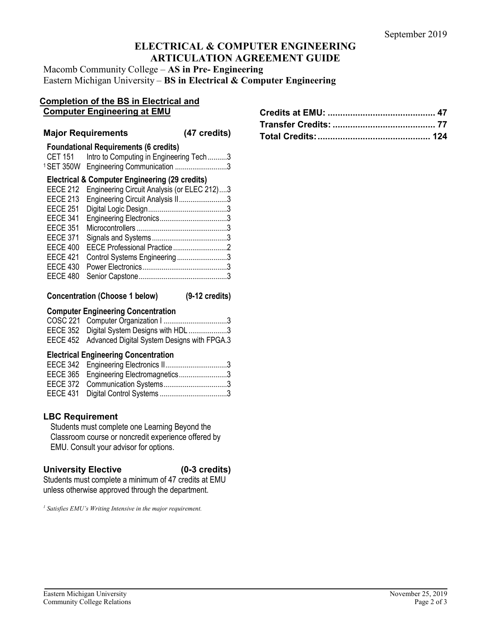# **ELECTRICAL & COMPUTER ENGINEERING ARTICULATION AGREEMENT GUIDE**

Macomb Community College – **AS in Pre- Engineering** Eastern Michigan University – **BS in Electrical & Computer Engineering**

#### **Completion of the BS in Electrical and Computer Engineering at EMU**

|                                    | <b>Major Requirements</b>                                                                                               | (47 credits) |
|------------------------------------|-------------------------------------------------------------------------------------------------------------------------|--------------|
| <b>CET 151</b><br>1 SET 350W       | <b>Foundational Requirements (6 credits)</b><br>Intro to Computing in Engineering Tech 3<br>Engineering Communication 3 |              |
| <b>EECE 212</b>                    | <b>Electrical &amp; Computer Engineering (29 credits)</b><br>Engineering Circuit Analysis (or ELEC 212)3                |              |
| <b>EECE 213</b>                    | Engineering Circuit Analysis II3                                                                                        |              |
| <b>EECE 251</b><br><b>EECE 341</b> |                                                                                                                         |              |
| <b>EECE 351</b><br><b>EECE 371</b> |                                                                                                                         |              |
| <b>EECE 400</b>                    |                                                                                                                         |              |
| <b>EECE 421</b><br><b>EECE 430</b> | Control Systems Engineering3                                                                                            |              |
| <b>EECE 480</b>                    |                                                                                                                         |              |

|  | <b>Concentration (Choose 1 below)</b> |  | $(9-12 \text{ credits})$ |
|--|---------------------------------------|--|--------------------------|
|--|---------------------------------------|--|--------------------------|

# **Computer Engineering Concentration**

| EECE 352 Digital System Designs with HDL 3           |
|------------------------------------------------------|
| EECE 452 Advanced Digital System Designs with FPGA.3 |

## **Electrical Engineering Concentration**

| EECE 342 Engineering Electronics II3   |  |
|----------------------------------------|--|
| EECE 365 Engineering Electromagnetics3 |  |
|                                        |  |
|                                        |  |

# **LBC Requirement**

Students must complete one Learning Beyond the Classroom course or noncredit experience offered by EMU. Consult your advisor for options.

## **University Elective (0-3 credits)**

Students must complete a minimum of 47 credits at EMU unless otherwise approved through the department.

*<sup>1</sup> Satisfies EMU's Writing Intensive in the major requirement.*